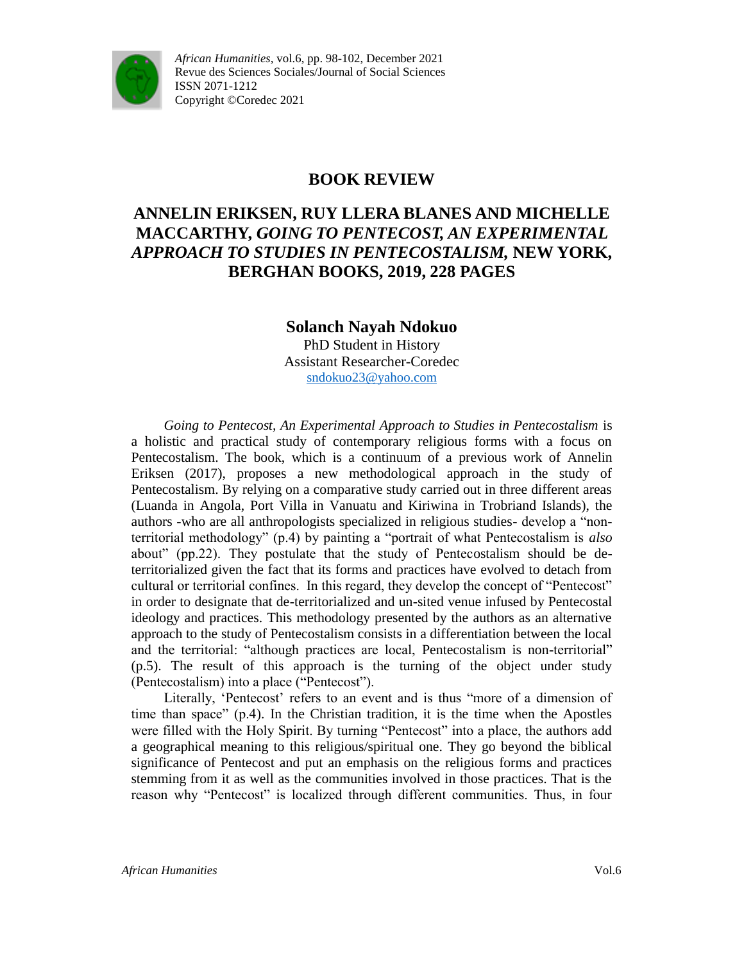

## **BOOK REVIEW**

# **ANNELIN ERIKSEN, RUY LLERA BLANES AND MICHELLE MACCARTHY,** *GOING TO PENTECOST, AN EXPERIMENTAL APPROACH TO STUDIES IN PENTECOSTALISM,* **NEW YORK, BERGHAN BOOKS, 2019, 228 PAGES**

#### **Solanch Nayah Ndokuo** PhD Student in History Assistant Researcher-Coredec [sndokuo23@yahoo.com](mailto:sndokuo23@yahoo.com)

*Going to Pentecost, An Experimental Approach to Studies in Pentecostalism* is a holistic and practical study of contemporary religious forms with a focus on Pentecostalism. The book, which is a continuum of a previous work of Annelin Eriksen (2017), proposes a new methodological approach in the study of Pentecostalism. By relying on a comparative study carried out in three different areas (Luanda in Angola, Port Villa in Vanuatu and Kiriwina in Trobriand Islands), the authors -who are all anthropologists specialized in religious studies- develop a "nonterritorial methodology" (p.4) by painting a "portrait of what Pentecostalism is *also*  about" (pp.22). They postulate that the study of Pentecostalism should be deterritorialized given the fact that its forms and practices have evolved to detach from cultural or territorial confines. In this regard, they develop the concept of "Pentecost" in order to designate that de-territorialized and un-sited venue infused by Pentecostal ideology and practices. This methodology presented by the authors as an alternative approach to the study of Pentecostalism consists in a differentiation between the local and the territorial: "although practices are local, Pentecostalism is non-territorial" (p.5). The result of this approach is the turning of the object under study (Pentecostalism) into a place ("Pentecost").

Literally, 'Pentecost' refers to an event and is thus "more of a dimension of time than space" (p.4). In the Christian tradition, it is the time when the Apostles were filled with the Holy Spirit. By turning "Pentecost" into a place, the authors add a geographical meaning to this religious/spiritual one. They go beyond the biblical significance of Pentecost and put an emphasis on the religious forms and practices stemming from it as well as the communities involved in those practices. That is the reason why "Pentecost" is localized through different communities. Thus, in four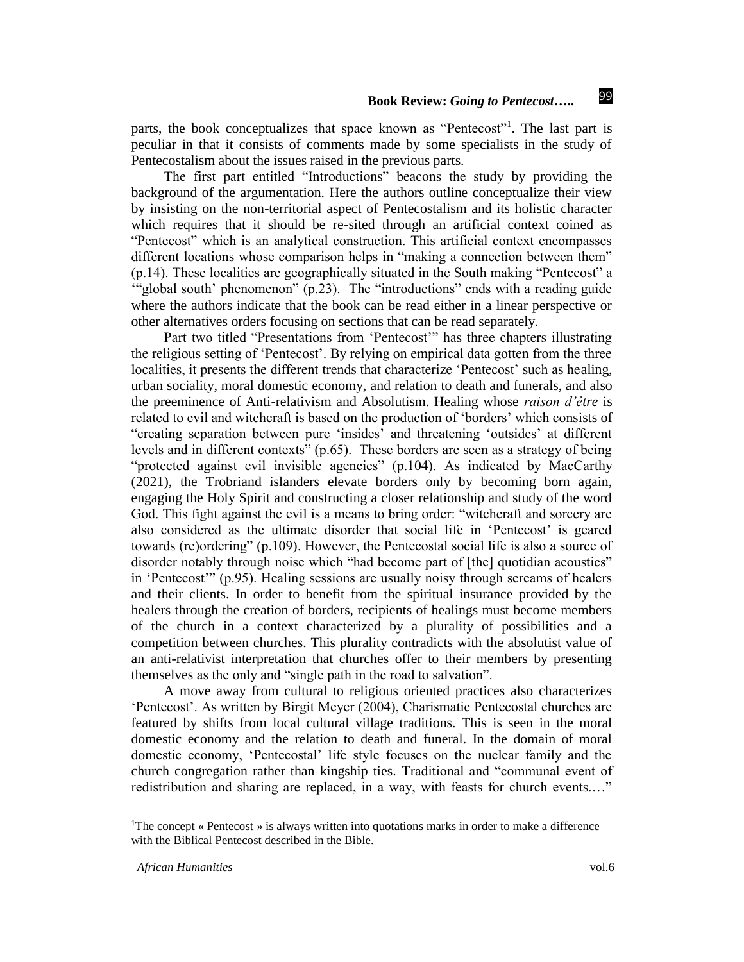99

parts, the book conceptualizes that space known as "Pentecost"<sup>1</sup>. The last part is peculiar in that it consists of comments made by some specialists in the study of Pentecostalism about the issues raised in the previous parts.

The first part entitled "Introductions" beacons the study by providing the background of the argumentation. Here the authors outline conceptualize their view by insisting on the non-territorial aspect of Pentecostalism and its holistic character which requires that it should be re-sited through an artificial context coined as "Pentecost" which is an analytical construction. This artificial context encompasses different locations whose comparison helps in "making a connection between them" (p.14). These localities are geographically situated in the South making "Pentecost" a '"global south' phenomenon" (p.23). The "introductions" ends with a reading guide where the authors indicate that the book can be read either in a linear perspective or other alternatives orders focusing on sections that can be read separately.

Part two titled "Presentations from 'Pentecost'" has three chapters illustrating the religious setting of 'Pentecost'. By relying on empirical data gotten from the three localities, it presents the different trends that characterize 'Pentecost' such as healing, urban sociality, moral domestic economy, and relation to death and funerals, and also the preeminence of Anti-relativism and Absolutism. Healing whose *raison d'être* is related to evil and witchcraft is based on the production of 'borders' which consists of "creating separation between pure 'insides' and threatening 'outsides' at different levels and in different contexts" (p.65). These borders are seen as a strategy of being "protected against evil invisible agencies" (p.104). As indicated by MacCarthy (2021), the Trobriand islanders elevate borders only by becoming born again, engaging the Holy Spirit and constructing a closer relationship and study of the word God. This fight against the evil is a means to bring order: "witchcraft and sorcery are also considered as the ultimate disorder that social life in 'Pentecost' is geared towards (re)ordering" (p.109). However, the Pentecostal social life is also a source of disorder notably through noise which "had become part of [the] quotidian acoustics" in 'Pentecost'" (p.95). Healing sessions are usually noisy through screams of healers and their clients. In order to benefit from the spiritual insurance provided by the healers through the creation of borders, recipients of healings must become members of the church in a context characterized by a plurality of possibilities and a competition between churches. This plurality contradicts with the absolutist value of an anti-relativist interpretation that churches offer to their members by presenting themselves as the only and "single path in the road to salvation".

A move away from cultural to religious oriented practices also characterizes 'Pentecost'. As written by Birgit Meyer (2004), Charismatic Pentecostal churches are featured by shifts from local cultural village traditions. This is seen in the moral domestic economy and the relation to death and funeral. In the domain of moral domestic economy, 'Pentecostal' life style focuses on the nuclear family and the church congregation rather than kingship ties. Traditional and "communal event of redistribution and sharing are replaced, in a way, with feasts for church events.…"

 $\overline{a}$ 

<sup>&</sup>lt;sup>1</sup>The concept « Pentecost » is always written into quotations marks in order to make a difference with the Biblical Pentecost described in the Bible.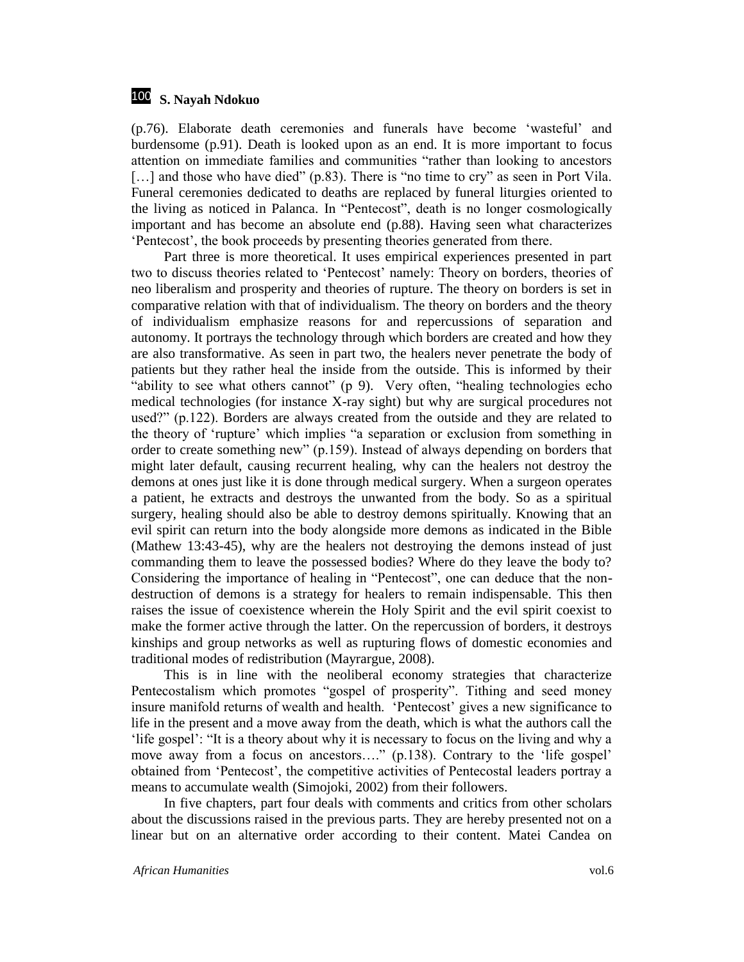#### 100 **S. Nayah Ndokuo**

(p.76). Elaborate death ceremonies and funerals have become 'wasteful' and burdensome (p.91). Death is looked upon as an end. It is more important to focus attention on immediate families and communities "rather than looking to ancestors [...] and those who have died" (p.83). There is "no time to cry" as seen in Port Vila. Funeral ceremonies dedicated to deaths are replaced by funeral liturgies oriented to the living as noticed in Palanca. In "Pentecost", death is no longer cosmologically important and has become an absolute end (p.88). Having seen what characterizes 'Pentecost', the book proceeds by presenting theories generated from there.

Part three is more theoretical. It uses empirical experiences presented in part two to discuss theories related to 'Pentecost' namely: Theory on borders, theories of neo liberalism and prosperity and theories of rupture. The theory on borders is set in comparative relation with that of individualism. The theory on borders and the theory of individualism emphasize reasons for and repercussions of separation and autonomy. It portrays the technology through which borders are created and how they are also transformative. As seen in part two, the healers never penetrate the body of patients but they rather heal the inside from the outside. This is informed by their "ability to see what others cannot" (p 9). Very often, "healing technologies echo medical technologies (for instance X-ray sight) but why are surgical procedures not used?" (p.122). Borders are always created from the outside and they are related to the theory of 'rupture' which implies "a separation or exclusion from something in order to create something new" (p.159). Instead of always depending on borders that might later default, causing recurrent healing, why can the healers not destroy the demons at ones just like it is done through medical surgery. When a surgeon operates a patient, he extracts and destroys the unwanted from the body. So as a spiritual surgery, healing should also be able to destroy demons spiritually. Knowing that an evil spirit can return into the body alongside more demons as indicated in the Bible (Mathew 13:43-45), why are the healers not destroying the demons instead of just commanding them to leave the possessed bodies? Where do they leave the body to? Considering the importance of healing in "Pentecost", one can deduce that the nondestruction of demons is a strategy for healers to remain indispensable. This then raises the issue of coexistence wherein the Holy Spirit and the evil spirit coexist to make the former active through the latter. On the repercussion of borders, it destroys kinships and group networks as well as rupturing flows of domestic economies and traditional modes of redistribution (Mayrargue, 2008).

This is in line with the neoliberal economy strategies that characterize Pentecostalism which promotes "gospel of prosperity". Tithing and seed money insure manifold returns of wealth and health. 'Pentecost' gives a new significance to life in the present and a move away from the death, which is what the authors call the 'life gospel': "It is a theory about why it is necessary to focus on the living and why a move away from a focus on ancestors…." (p.138). Contrary to the 'life gospel' obtained from 'Pentecost', the competitive activities of Pentecostal leaders portray a means to accumulate wealth (Simojoki, 2002) from their followers.

In five chapters, part four deals with comments and critics from other scholars about the discussions raised in the previous parts. They are hereby presented not on a linear but on an alternative order according to their content. Matei Candea on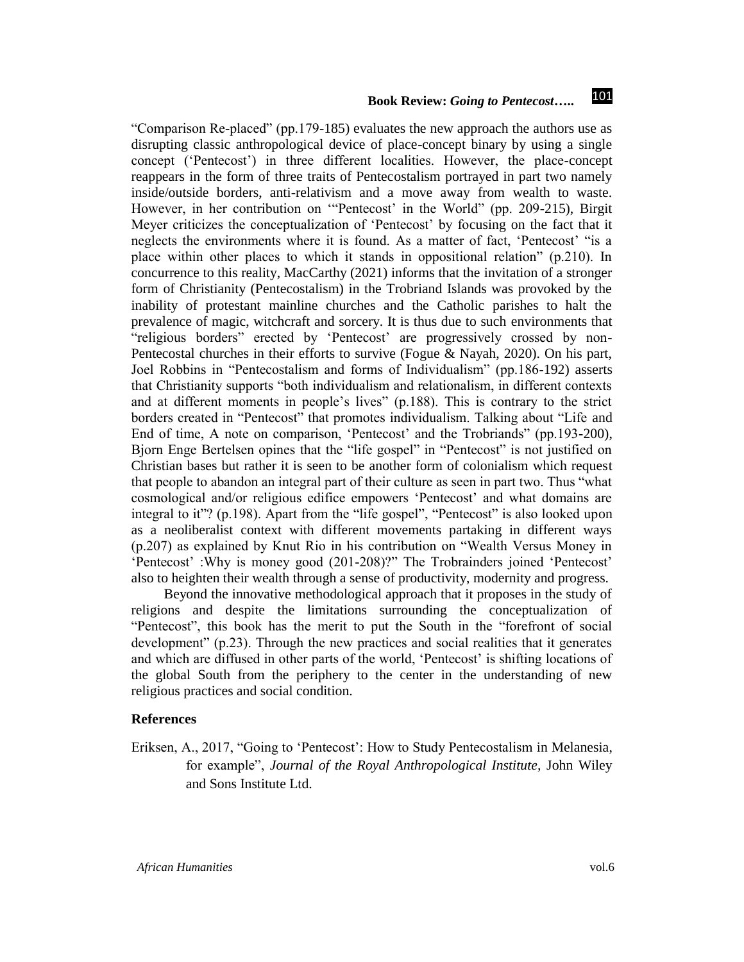#### 101 **Book Review:** *Going to Pentecost***…..**

"Comparison Re-placed" (pp.179-185) evaluates the new approach the authors use as disrupting classic anthropological device of place-concept binary by using a single concept ('Pentecost') in three different localities. However, the place-concept reappears in the form of three traits of Pentecostalism portrayed in part two namely inside/outside borders, anti-relativism and a move away from wealth to waste. However, in her contribution on '"Pentecost' in the World" (pp. 209-215), Birgit Meyer criticizes the conceptualization of 'Pentecost' by focusing on the fact that it neglects the environments where it is found. As a matter of fact, 'Pentecost' "is a place within other places to which it stands in oppositional relation" (p.210). In concurrence to this reality, MacCarthy (2021) informs that the invitation of a stronger form of Christianity (Pentecostalism) in the Trobriand Islands was provoked by the inability of protestant mainline churches and the Catholic parishes to halt the prevalence of magic, witchcraft and sorcery. It is thus due to such environments that "religious borders" erected by 'Pentecost' are progressively crossed by non-Pentecostal churches in their efforts to survive (Fogue & Nayah, 2020). On his part, Joel Robbins in "Pentecostalism and forms of Individualism" (pp.186-192) asserts that Christianity supports "both individualism and relationalism, in different contexts and at different moments in people's lives" (p.188). This is contrary to the strict borders created in "Pentecost" that promotes individualism. Talking about "Life and End of time, A note on comparison, 'Pentecost' and the Trobriands" (pp.193-200), Bjorn Enge Bertelsen opines that the "life gospel" in "Pentecost" is not justified on Christian bases but rather it is seen to be another form of colonialism which request that people to abandon an integral part of their culture as seen in part two. Thus "what cosmological and/or religious edifice empowers 'Pentecost' and what domains are integral to it"? (p.198). Apart from the "life gospel", "Pentecost" is also looked upon as a neoliberalist context with different movements partaking in different ways (p.207) as explained by Knut Rio in his contribution on "Wealth Versus Money in 'Pentecost' :Why is money good (201-208)?" The Trobrainders joined 'Pentecost' also to heighten their wealth through a sense of productivity, modernity and progress.

Beyond the innovative methodological approach that it proposes in the study of religions and despite the limitations surrounding the conceptualization of "Pentecost", this book has the merit to put the South in the "forefront of social development" (p.23). Through the new practices and social realities that it generates and which are diffused in other parts of the world, 'Pentecost' is shifting locations of the global South from the periphery to the center in the understanding of new religious practices and social condition.

#### **References**

Eriksen, A., 2017, "Going to 'Pentecost': How to Study Pentecostalism in Melanesia, for example", *Journal of the Royal Anthropological Institute,* John Wiley and Sons Institute Ltd.

*African Humanities* vol.6